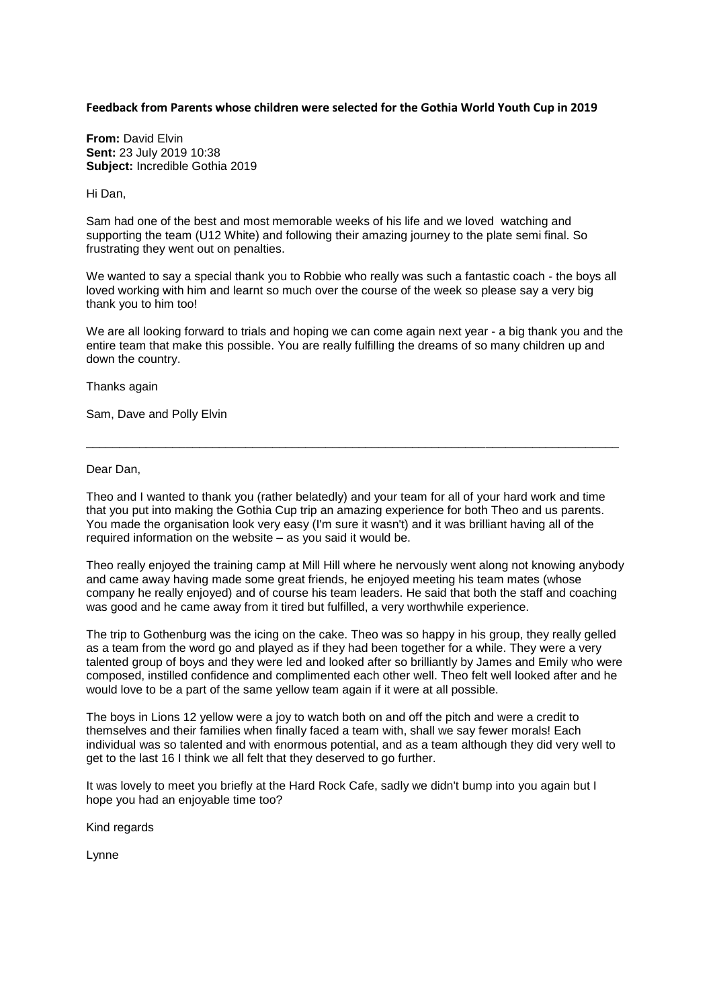## **Feedback from Parents whose children were selected for the Gothia World Youth Cup in 2019**

**From:** David Elvin **Sent:** 23 July 2019 10:38 **Subject:** Incredible Gothia 2019

Hi Dan,

Sam had one of the best and most memorable weeks of his life and we loved watching and supporting the team (U12 White) and following their amazing journey to the plate semi final. So frustrating they went out on penalties.

We wanted to say a special thank you to Robbie who really was such a fantastic coach - the boys all loved working with him and learnt so much over the course of the week so please say a very big thank you to him too!

We are all looking forward to trials and hoping we can come again next year - a big thank you and the entire team that make this possible. You are really fulfilling the dreams of so many children up and down the country.

Thanks again

Sam, Dave and Polly Elvin

Dear Dan,

Theo and I wanted to thank you (rather belatedly) and your team for all of your hard work and time that you put into making the Gothia Cup trip an amazing experience for both Theo and us parents. You made the organisation look very easy (I'm sure it wasn't) and it was brilliant having all of the required information on the website – as you said it would be.

\_\_\_\_\_\_\_\_\_\_\_\_\_\_\_\_\_\_\_\_\_\_\_\_\_\_\_\_\_\_\_\_\_\_\_\_\_\_\_\_\_\_\_\_\_\_\_\_\_\_\_\_\_\_\_\_\_\_\_\_\_\_\_\_\_\_\_\_\_\_\_\_\_\_\_\_\_\_\_\_

Theo really enjoyed the training camp at Mill Hill where he nervously went along not knowing anybody and came away having made some great friends, he enjoyed meeting his team mates (whose company he really enjoyed) and of course his team leaders. He said that both the staff and coaching was good and he came away from it tired but fulfilled, a very worthwhile experience.

The trip to Gothenburg was the icing on the cake. Theo was so happy in his group, they really gelled as a team from the word go and played as if they had been together for a while. They were a very talented group of boys and they were led and looked after so brilliantly by James and Emily who were composed, instilled confidence and complimented each other well. Theo felt well looked after and he would love to be a part of the same yellow team again if it were at all possible.

The boys in Lions 12 yellow were a joy to watch both on and off the pitch and were a credit to themselves and their families when finally faced a team with, shall we say fewer morals! Each individual was so talented and with enormous potential, and as a team although they did very well to get to the last 16 I think we all felt that they deserved to go further.

It was lovely to meet you briefly at the Hard Rock Cafe, sadly we didn't bump into you again but I hope you had an enjoyable time too?

Kind regards

Lynne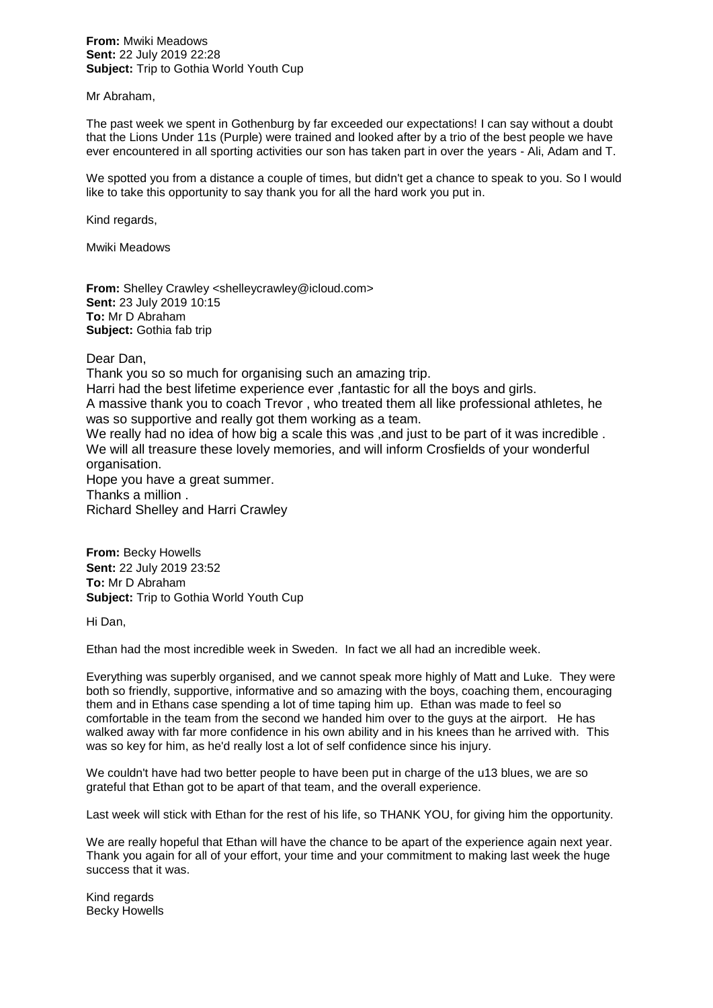## **From:** Mwiki Meadows **Sent:** 22 July 2019 22:28 **Subject:** Trip to Gothia World Youth Cup

## Mr Abraham,

The past week we spent in Gothenburg by far exceeded our expectations! I can say without a doubt that the Lions Under 11s (Purple) were trained and looked after by a trio of the best people we have ever encountered in all sporting activities our son has taken part in over the years - Ali, Adam and T.

We spotted you from a distance a couple of times, but didn't get a chance to speak to you. So I would like to take this opportunity to say thank you for all the hard work you put in.

Kind regards,

Mwiki Meadows

**From:** Shelley Crawley <shelleycrawley@icloud.com> **Sent:** 23 July 2019 10:15 **To:** Mr D Abraham **Subject:** Gothia fab trip

Dear Dan,

Thank you so so much for organising such an amazing trip.

Harri had the best lifetime experience ever ,fantastic for all the boys and girls.

A massive thank you to coach Trevor , who treated them all like professional athletes, he was so supportive and really got them working as a team.

We really had no idea of how big a scale this was ,and just to be part of it was incredible . We will all treasure these lovely memories, and will inform Crosfields of your wonderful organisation.

Hope you have a great summer. Thanks a million . Richard Shelley and Harri Crawley

**From:** Becky Howells **Sent:** 22 July 2019 23:52 **To:** Mr D Abraham **Subject:** Trip to Gothia World Youth Cup

Hi Dan,

Ethan had the most incredible week in Sweden. In fact we all had an incredible week.

Everything was superbly organised, and we cannot speak more highly of Matt and Luke. They were both so friendly, supportive, informative and so amazing with the boys, coaching them, encouraging them and in Ethans case spending a lot of time taping him up. Ethan was made to feel so comfortable in the team from the second we handed him over to the guys at the airport. He has walked away with far more confidence in his own ability and in his knees than he arrived with. This was so key for him, as he'd really lost a lot of self confidence since his injury.

We couldn't have had two better people to have been put in charge of the u13 blues, we are so grateful that Ethan got to be apart of that team, and the overall experience.

Last week will stick with Ethan for the rest of his life, so THANK YOU, for giving him the opportunity.

We are really hopeful that Ethan will have the chance to be apart of the experience again next year. Thank you again for all of your effort, your time and your commitment to making last week the huge success that it was.

Kind regards Becky Howells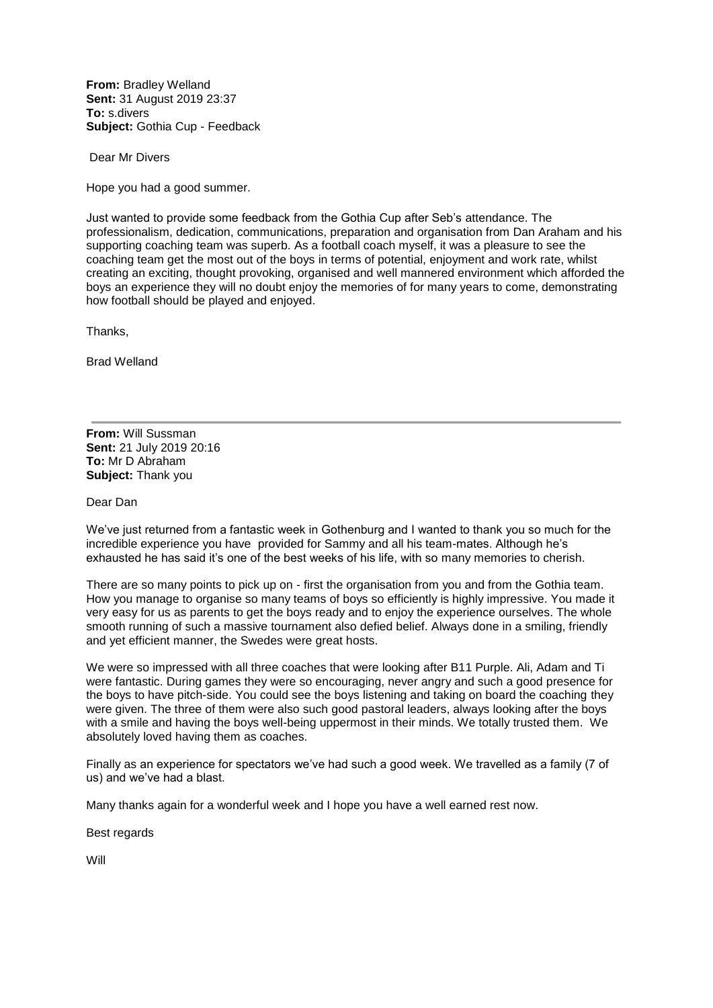**From:** Bradley Welland **Sent:** 31 August 2019 23:37 **To:** s.divers **Subject:** Gothia Cup - Feedback

Dear Mr Divers

Hope you had a good summer.

Just wanted to provide some feedback from the Gothia Cup after Seb's attendance. The professionalism, dedication, communications, preparation and organisation from Dan Araham and his supporting coaching team was superb. As a football coach myself, it was a pleasure to see the coaching team get the most out of the boys in terms of potential, enjoyment and work rate, whilst creating an exciting, thought provoking, organised and well mannered environment which afforded the boys an experience they will no doubt enjoy the memories of for many years to come, demonstrating how football should be played and enjoyed.

Thanks,

Brad Welland

**From:** Will Sussman **Sent:** 21 July 2019 20:16 **To:** Mr D Abraham **Subject:** Thank you

Dear Dan

We've just returned from a fantastic week in Gothenburg and I wanted to thank you so much for the incredible experience you have provided for Sammy and all his team-mates. Although he's exhausted he has said it's one of the best weeks of his life, with so many memories to cherish.

There are so many points to pick up on - first the organisation from you and from the Gothia team. How you manage to organise so many teams of boys so efficiently is highly impressive. You made it very easy for us as parents to get the boys ready and to enjoy the experience ourselves. The whole smooth running of such a massive tournament also defied belief. Always done in a smiling, friendly and yet efficient manner, the Swedes were great hosts.

We were so impressed with all three coaches that were looking after B11 Purple. Ali, Adam and Ti were fantastic. During games they were so encouraging, never angry and such a good presence for the boys to have pitch-side. You could see the boys listening and taking on board the coaching they were given. The three of them were also such good pastoral leaders, always looking after the boys with a smile and having the boys well-being uppermost in their minds. We totally trusted them. We absolutely loved having them as coaches.

Finally as an experience for spectators we've had such a good week. We travelled as a family (7 of us) and we've had a blast.

Many thanks again for a wonderful week and I hope you have a well earned rest now.

Best regards

**Will**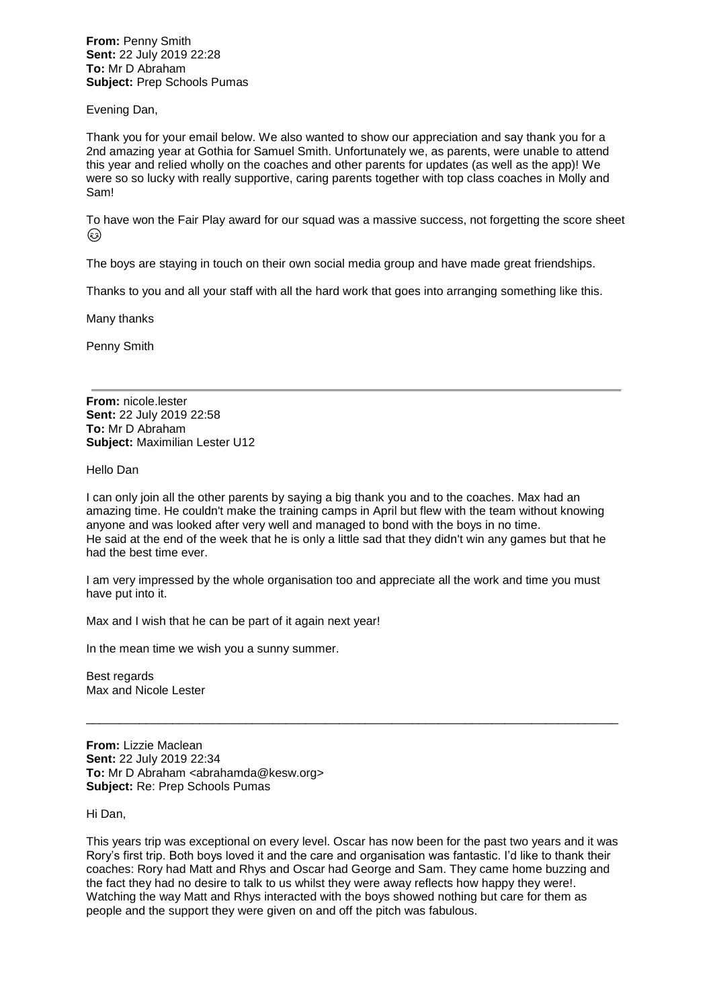**From:** Penny Smith **Sent:** 22 July 2019 22:28 **To:** Mr D Abraham **Subject:** Prep Schools Pumas

Evening Dan,

Thank you for your email below. We also wanted to show our appreciation and say thank you for a 2nd amazing year at Gothia for Samuel Smith. Unfortunately we, as parents, were unable to attend this year and relied wholly on the coaches and other parents for updates (as well as the app)! We were so so lucky with really supportive, caring parents together with top class coaches in Molly and Sam!

To have won the Fair Play award for our squad was a massive success, not forgetting the score sheet ۞

The boys are staying in touch on their own social media group and have made great friendships.

Thanks to you and all your staff with all the hard work that goes into arranging something like this.

Many thanks

Penny Smith

**From:** nicole.lester **Sent:** 22 July 2019 22:58 **To:** Mr D Abraham **Subject:** Maximilian Lester U12

Hello Dan

I can only join all the other parents by saying a big thank you and to the coaches. Max had an amazing time. He couldn't make the training camps in April but flew with the team without knowing anyone and was looked after very well and managed to bond with the boys in no time. He said at the end of the week that he is only a little sad that they didn't win any games but that he had the best time ever.

I am very impressed by the whole organisation too and appreciate all the work and time you must have put into it.

Max and I wish that he can be part of it again next year!

In the mean time we wish you a sunny summer.

Best regards Max and Nicole Lester

**From:** Lizzie Maclean **Sent:** 22 July 2019 22:34 **To:** Mr D Abraham <abrahamda@kesw.org> **Subject:** Re: Prep Schools Pumas

Hi Dan,

This years trip was exceptional on every level. Oscar has now been for the past two years and it was Rory's first trip. Both boys loved it and the care and organisation was fantastic. I'd like to thank their coaches: Rory had Matt and Rhys and Oscar had George and Sam. They came home buzzing and the fact they had no desire to talk to us whilst they were away reflects how happy they were!. Watching the way Matt and Rhys interacted with the boys showed nothing but care for them as people and the support they were given on and off the pitch was fabulous.

\_\_\_\_\_\_\_\_\_\_\_\_\_\_\_\_\_\_\_\_\_\_\_\_\_\_\_\_\_\_\_\_\_\_\_\_\_\_\_\_\_\_\_\_\_\_\_\_\_\_\_\_\_\_\_\_\_\_\_\_\_\_\_\_\_\_\_\_\_\_\_\_\_\_\_\_\_\_\_\_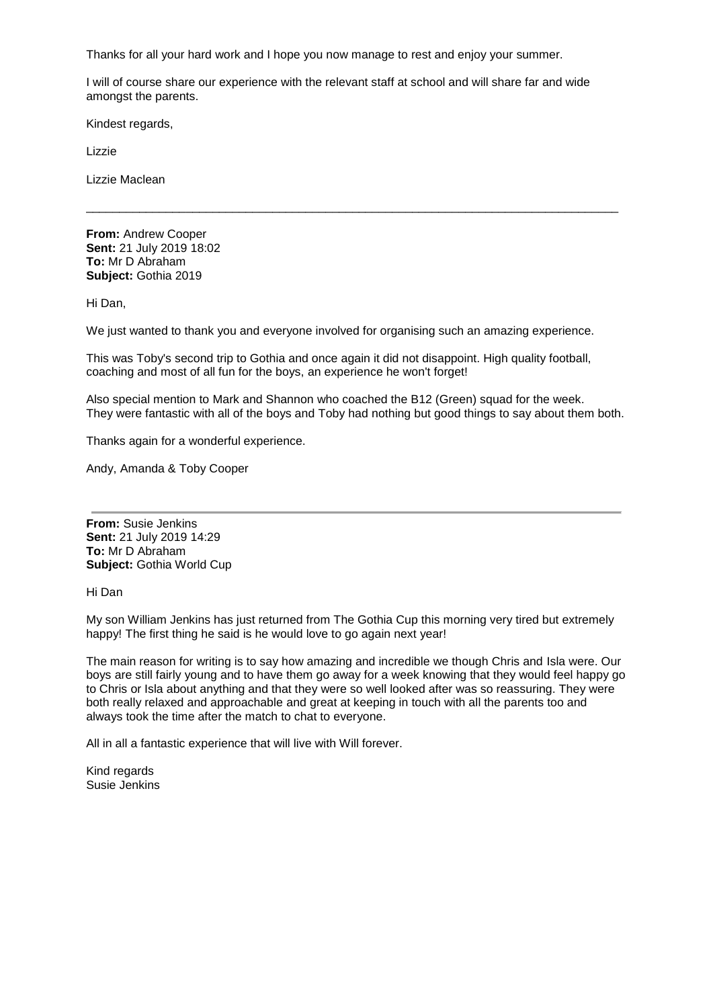Thanks for all your hard work and I hope you now manage to rest and enjoy your summer.

I will of course share our experience with the relevant staff at school and will share far and wide amongst the parents.

\_\_\_\_\_\_\_\_\_\_\_\_\_\_\_\_\_\_\_\_\_\_\_\_\_\_\_\_\_\_\_\_\_\_\_\_\_\_\_\_\_\_\_\_\_\_\_\_\_\_\_\_\_\_\_\_\_\_\_\_\_\_\_\_\_\_\_\_\_\_\_\_\_\_\_\_\_\_\_\_

Kindest regards,

Lizzie

Lizzie Maclean

**From:** Andrew Cooper **Sent:** 21 July 2019 18:02 **To:** Mr D Abraham **Subject:** Gothia 2019

Hi Dan,

We just wanted to thank you and everyone involved for organising such an amazing experience.

This was Toby's second trip to Gothia and once again it did not disappoint. High quality football, coaching and most of all fun for the boys, an experience he won't forget!

Also special mention to Mark and Shannon who coached the B12 (Green) squad for the week. They were fantastic with all of the boys and Toby had nothing but good things to say about them both.

Thanks again for a wonderful experience.

Andy, Amanda & Toby Cooper

**From:** Susie Jenkins **Sent:** 21 July 2019 14:29 **To:** Mr D Abraham **Subject:** Gothia World Cup

Hi Dan

My son William Jenkins has just returned from The Gothia Cup this morning very tired but extremely happy! The first thing he said is he would love to go again next year!

The main reason for writing is to say how amazing and incredible we though Chris and Isla were. Our boys are still fairly young and to have them go away for a week knowing that they would feel happy go to Chris or Isla about anything and that they were so well looked after was so reassuring. They were both really relaxed and approachable and great at keeping in touch with all the parents too and always took the time after the match to chat to everyone.

All in all a fantastic experience that will live with Will forever.

Kind regards Susie Jenkins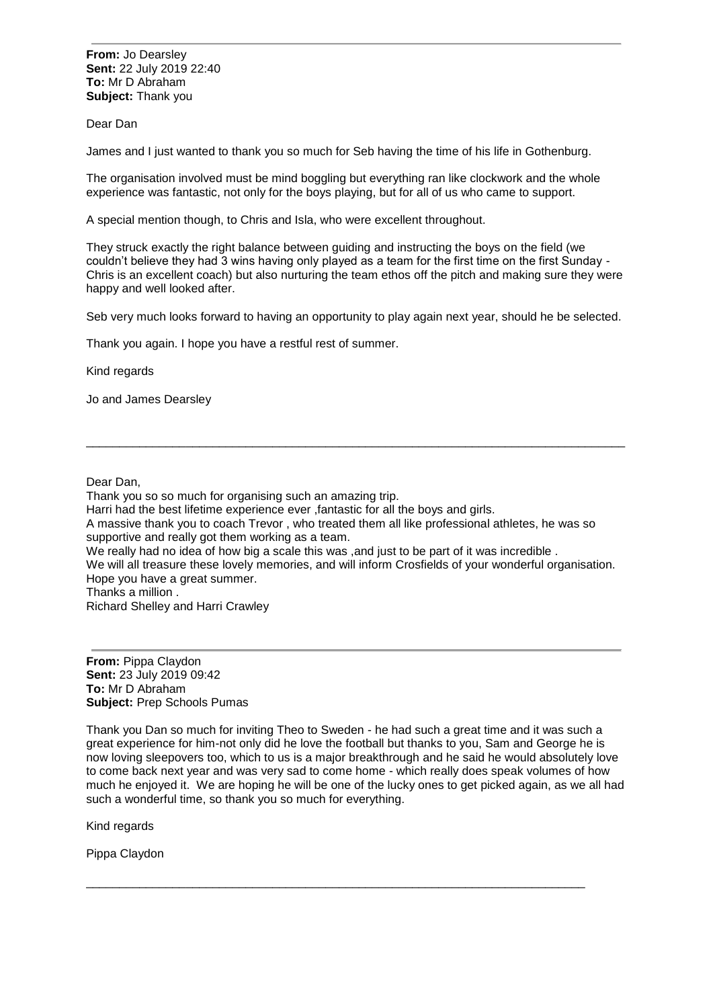**From:** Jo Dearsley **Sent:** 22 July 2019 22:40 **To:** Mr D Abraham **Subject:** Thank you

Dear Dan

James and I just wanted to thank you so much for Seb having the time of his life in Gothenburg.

The organisation involved must be mind boggling but everything ran like clockwork and the whole experience was fantastic, not only for the boys playing, but for all of us who came to support.

A special mention though, to Chris and Isla, who were excellent throughout.

They struck exactly the right balance between guiding and instructing the boys on the field (we couldn't believe they had 3 wins having only played as a team for the first time on the first Sunday - Chris is an excellent coach) but also nurturing the team ethos off the pitch and making sure they were happy and well looked after.

Seb very much looks forward to having an opportunity to play again next year, should he be selected.

\_\_\_\_\_\_\_\_\_\_\_\_\_\_\_\_\_\_\_\_\_\_\_\_\_\_\_\_\_\_\_\_\_\_\_\_\_\_\_\_\_\_\_\_\_\_\_\_\_\_\_\_\_\_\_\_\_\_\_\_\_\_\_\_\_\_\_\_\_\_\_\_\_\_\_\_\_\_\_\_\_

Thank you again. I hope you have a restful rest of summer.

Kind regards

Jo and James Dearsley

Dear Dan,

Thank you so so much for organising such an amazing trip.

Harri had the best lifetime experience ever ,fantastic for all the boys and girls.

A massive thank you to coach Trevor , who treated them all like professional athletes, he was so supportive and really got them working as a team.

We really had no idea of how big a scale this was , and just to be part of it was incredible .

We will all treasure these lovely memories, and will inform Crosfields of your wonderful organisation. Hope you have a great summer.

Thanks a million .

Richard Shelley and Harri Crawley

**From:** Pippa Claydon **Sent:** 23 July 2019 09:42 **To:** Mr D Abraham **Subject:** Prep Schools Pumas

Thank you Dan so much for inviting Theo to Sweden - he had such a great time and it was such a great experience for him-not only did he love the football but thanks to you, Sam and George he is now loving sleepovers too, which to us is a major breakthrough and he said he would absolutely love to come back next year and was very sad to come home - which really does speak volumes of how much he enjoyed it. We are hoping he will be one of the lucky ones to get picked again, as we all had such a wonderful time, so thank you so much for everything.

\_\_\_\_\_\_\_\_\_\_\_\_\_\_\_\_\_\_\_\_\_\_\_\_\_\_\_\_\_\_\_\_\_\_\_\_\_\_\_\_\_\_\_\_\_\_\_\_\_\_\_\_\_\_\_\_\_\_\_\_\_\_\_\_\_\_\_\_\_\_\_\_\_\_\_

Kind regards

Pippa Claydon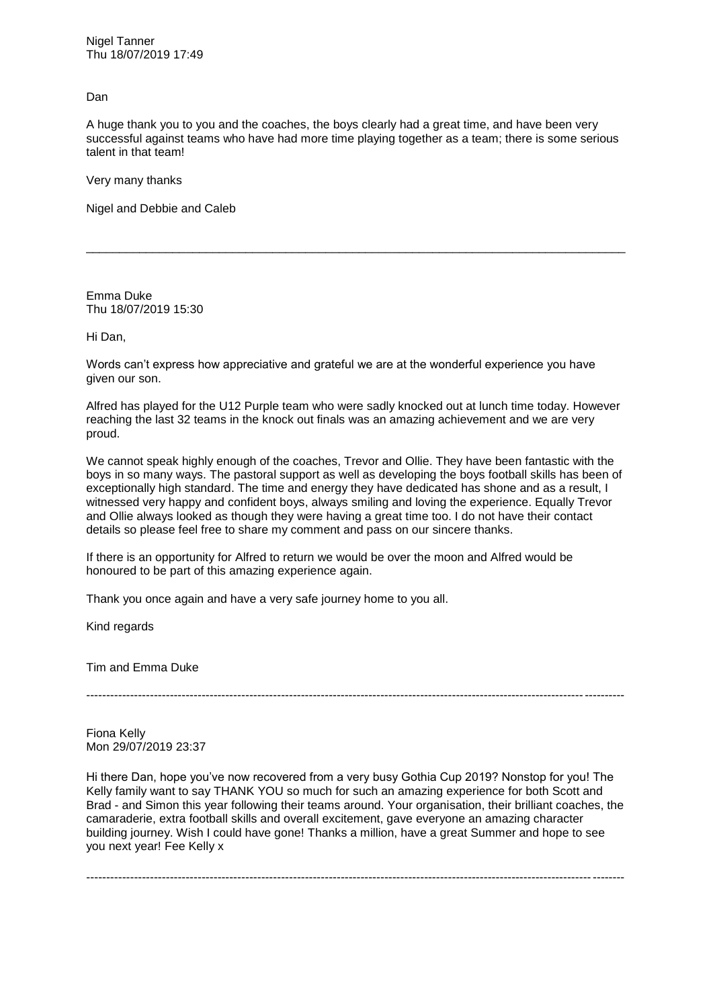Nigel Tanner Thu 18/07/2019 17:49

Dan

A huge thank you to you and the coaches, the boys clearly had a great time, and have been very successful against teams who have had more time playing together as a team; there is some serious talent in that team!

\_\_\_\_\_\_\_\_\_\_\_\_\_\_\_\_\_\_\_\_\_\_\_\_\_\_\_\_\_\_\_\_\_\_\_\_\_\_\_\_\_\_\_\_\_\_\_\_\_\_\_\_\_\_\_\_\_\_\_\_\_\_\_\_\_\_\_\_\_\_\_\_\_\_\_\_\_\_\_\_\_

Very many thanks

Nigel and Debbie and Caleb

Emma Duke Thu 18/07/2019 15:30

Hi Dan,

Words can't express how appreciative and grateful we are at the wonderful experience you have given our son.

Alfred has played for the U12 Purple team who were sadly knocked out at lunch time today. However reaching the last 32 teams in the knock out finals was an amazing achievement and we are very proud.

We cannot speak highly enough of the coaches, Trevor and Ollie. They have been fantastic with the boys in so many ways. The pastoral support as well as developing the boys football skills has been of exceptionally high standard. The time and energy they have dedicated has shone and as a result, I witnessed very happy and confident boys, always smiling and loving the experience. Equally Trevor and Ollie always looked as though they were having a great time too. I do not have their contact details so please feel free to share my comment and pass on our sincere thanks.

If there is an opportunity for Alfred to return we would be over the moon and Alfred would be honoured to be part of this amazing experience again.

Thank you once again and have a very safe journey home to you all.

Kind regards

Tim and Emma Duke

---------------------------------------------------------------------------------------------------------------------------------------

Fiona Kelly Mon 29/07/2019 23:37

Hi there Dan, hope you've now recovered from a very busy Gothia Cup 2019? Nonstop for you! The Kelly family want to say THANK YOU so much for such an amazing experience for both Scott and Brad - and Simon this year following their teams around. Your organisation, their brilliant coaches, the camaraderie, extra football skills and overall excitement, gave everyone an amazing character building journey. Wish I could have gone! Thanks a million, have a great Summer and hope to see you next year! Fee Kelly x

---------------------------------------------------------------------------------------------------------------------------------------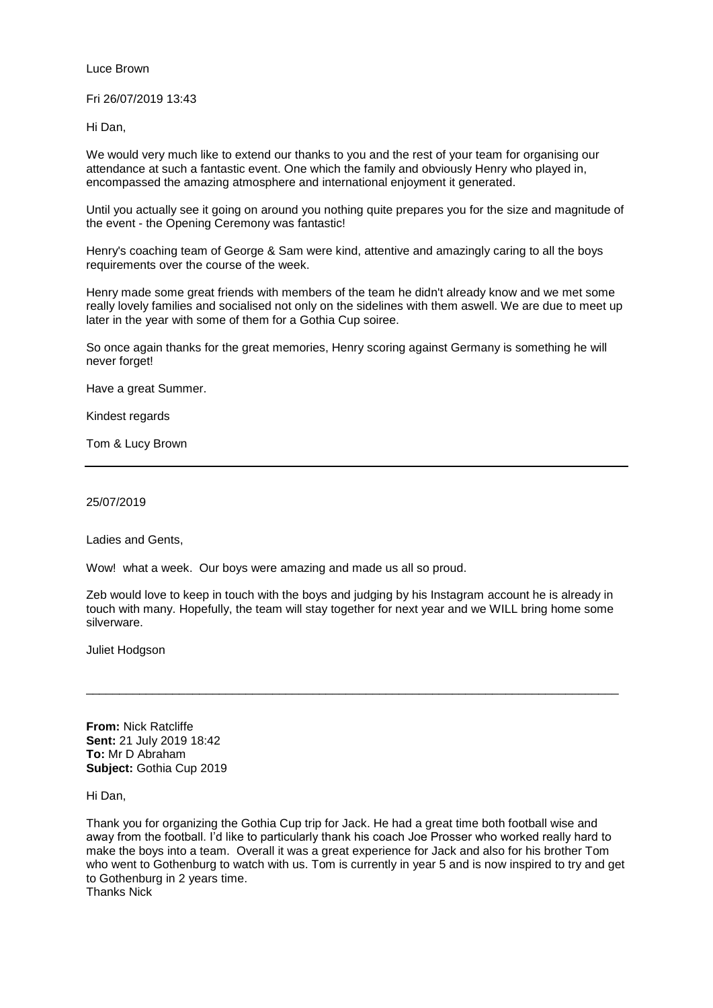Luce Brown

Fri 26/07/2019 13:43

Hi Dan,

We would very much like to extend our thanks to you and the rest of your team for organising our attendance at such a fantastic event. One which the family and obviously Henry who played in, encompassed the amazing atmosphere and international enjoyment it generated.

Until you actually see it going on around you nothing quite prepares you for the size and magnitude of the event - the Opening Ceremony was fantastic!

Henry's coaching team of George & Sam were kind, attentive and amazingly caring to all the boys requirements over the course of the week.

Henry made some great friends with members of the team he didn't already know and we met some really lovely families and socialised not only on the sidelines with them aswell. We are due to meet up later in the year with some of them for a Gothia Cup soiree.

So once again thanks for the great memories, Henry scoring against Germany is something he will never forget!

Have a great Summer.

Kindest regards

Tom & Lucy Brown

25/07/2019

Ladies and Gents,

Wow! what a week. Our boys were amazing and made us all so proud.

Zeb would love to keep in touch with the boys and judging by his Instagram account he is already in touch with many. Hopefully, the team will stay together for next year and we WILL bring home some silverware.

\_\_\_\_\_\_\_\_\_\_\_\_\_\_\_\_\_\_\_\_\_\_\_\_\_\_\_\_\_\_\_\_\_\_\_\_\_\_\_\_\_\_\_\_\_\_\_\_\_\_\_\_\_\_\_\_\_\_\_\_\_\_\_\_\_\_\_\_\_\_\_\_\_\_\_\_\_\_\_\_

Juliet Hodgson

**From:** Nick Ratcliffe **Sent:** 21 July 2019 18:42 **To:** Mr D Abraham **Subject:** Gothia Cup 2019

Hi Dan,

Thank you for organizing the Gothia Cup trip for Jack. He had a great time both football wise and away from the football. I'd like to particularly thank his coach Joe Prosser who worked really hard to make the boys into a team. Overall it was a great experience for Jack and also for his brother Tom who went to Gothenburg to watch with us. Tom is currently in year 5 and is now inspired to try and get to Gothenburg in 2 years time. Thanks Nick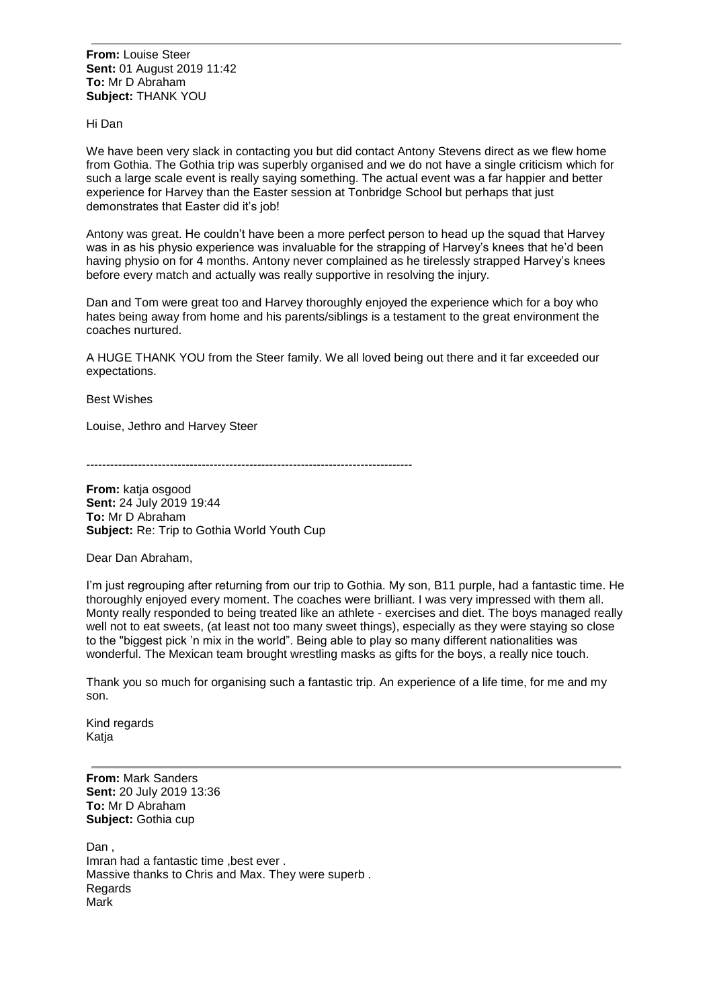**From:** Louise Steer **Sent:** 01 August 2019 11:42 **To:** Mr D Abraham **Subject:** THANK YOU

Hi Dan

We have been very slack in contacting you but did contact Antony Stevens direct as we flew home from Gothia. The Gothia trip was superbly organised and we do not have a single criticism which for such a large scale event is really saying something. The actual event was a far happier and better experience for Harvey than the Easter session at Tonbridge School but perhaps that just demonstrates that Easter did it's job!

Antony was great. He couldn't have been a more perfect person to head up the squad that Harvey was in as his physio experience was invaluable for the strapping of Harvey's knees that he'd been having physio on for 4 months. Antony never complained as he tirelessly strapped Harvey's knees before every match and actually was really supportive in resolving the injury.

Dan and Tom were great too and Harvey thoroughly enjoyed the experience which for a boy who hates being away from home and his parents/siblings is a testament to the great environment the coaches nurtured.

A HUGE THANK YOU from the Steer family. We all loved being out there and it far exceeded our expectations.

Best Wishes

Louise, Jethro and Harvey Steer

----------------------------------------------------------------------------------

**From:** katja osgood **Sent:** 24 July 2019 19:44 **To:** Mr D Abraham **Subject:** Re: Trip to Gothia World Youth Cup

Dear Dan Abraham,

I'm just regrouping after returning from our trip to Gothia. My son, B11 purple, had a fantastic time. He thoroughly enjoyed every moment. The coaches were brilliant. I was very impressed with them all. Monty really responded to being treated like an athlete - exercises and diet. The boys managed really well not to eat sweets, (at least not too many sweet things), especially as they were staying so close to the "biggest pick 'n mix in the world". Being able to play so many different nationalities was wonderful. The Mexican team brought wrestling masks as gifts for the boys, a really nice touch.

Thank you so much for organising such a fantastic trip. An experience of a life time, for me and my son.

Kind regards Katja

**From:** Mark Sanders **Sent:** 20 July 2019 13:36 **To:** Mr D Abraham **Subject:** Gothia cup

Dan , Imran had a fantastic time ,best ever . Massive thanks to Chris and Max. They were superb . **Regards** Mark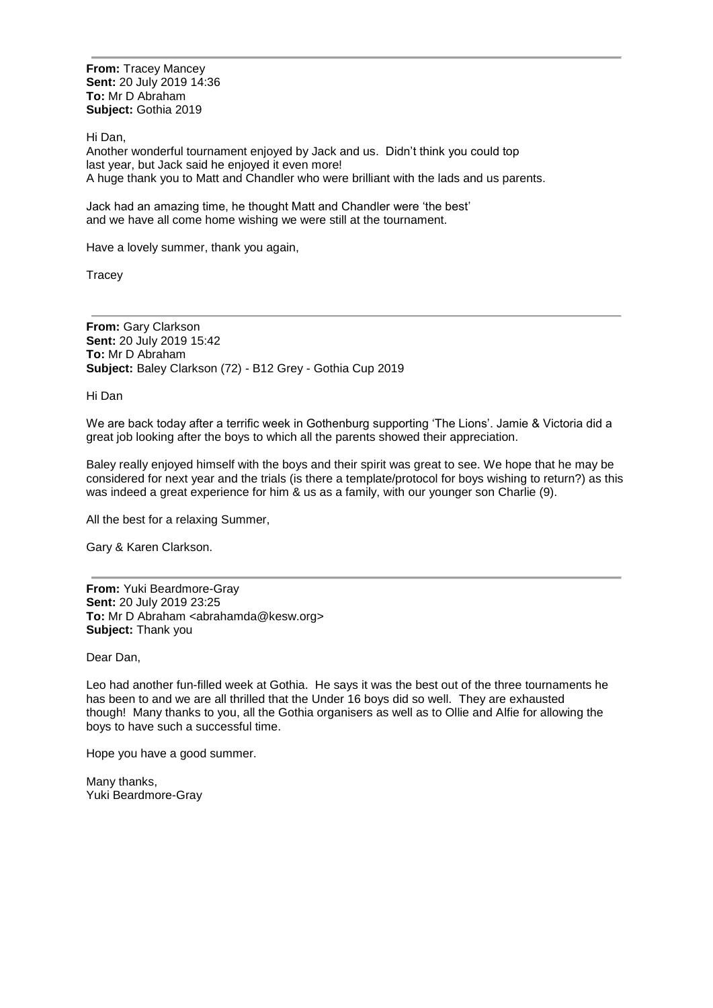**From:** Tracey Mancey **Sent:** 20 July 2019 14:36 **To:** Mr D Abraham **Subject:** Gothia 2019

Hi Dan,

Another wonderful tournament enjoyed by Jack and us. Didn't think you could top last year, but Jack said he enjoyed it even more! A huge thank you to Matt and Chandler who were brilliant with the lads and us parents.

Jack had an amazing time, he thought Matt and Chandler were 'the best' and we have all come home wishing we were still at the tournament.

Have a lovely summer, thank you again,

**Tracey** 

**From:** Gary Clarkson **Sent:** 20 July 2019 15:42 **To:** Mr D Abraham **Subject:** Baley Clarkson (72) - B12 Grey - Gothia Cup 2019

Hi Dan

We are back today after a terrific week in Gothenburg supporting 'The Lions'. Jamie & Victoria did a great job looking after the boys to which all the parents showed their appreciation.

Baley really enjoyed himself with the boys and their spirit was great to see. We hope that he may be considered for next year and the trials (is there a template/protocol for boys wishing to return?) as this was indeed a great experience for him & us as a family, with our younger son Charlie (9).

All the best for a relaxing Summer,

Gary & Karen Clarkson.

**From:** Yuki Beardmore-Gray **Sent:** 20 July 2019 23:25 **To:** Mr D Abraham <abrahamda@kesw.org> **Subject:** Thank you

Dear Dan,

Leo had another fun-filled week at Gothia. He says it was the best out of the three tournaments he has been to and we are all thrilled that the Under 16 boys did so well. They are exhausted though! Many thanks to you, all the Gothia organisers as well as to Ollie and Alfie for allowing the boys to have such a successful time.

Hope you have a good summer.

Many thanks, Yuki Beardmore-Gray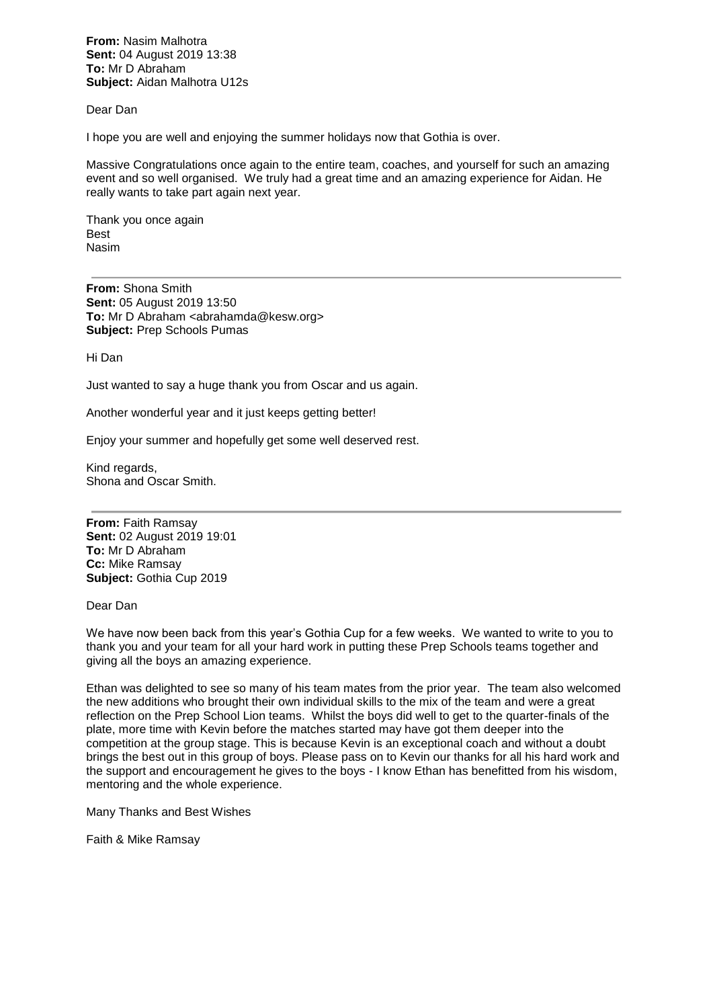**From:** Nasim Malhotra **Sent:** 04 August 2019 13:38 **To:** Mr D Abraham **Subject:** Aidan Malhotra U12s

Dear Dan

I hope you are well and enjoying the summer holidays now that Gothia is over.

Massive Congratulations once again to the entire team, coaches, and yourself for such an amazing event and so well organised. We truly had a great time and an amazing experience for Aidan. He really wants to take part again next year.

Thank you once again Best Nasim

**From:** Shona Smith **Sent:** 05 August 2019 13:50 **To:** Mr D Abraham <abrahamda@kesw.org> **Subject:** Prep Schools Pumas

Hi Dan

Just wanted to say a huge thank you from Oscar and us again.

Another wonderful year and it just keeps getting better!

Enjoy your summer and hopefully get some well deserved rest.

Kind regards, Shona and Oscar Smith.

**From:** Faith Ramsay **Sent:** 02 August 2019 19:01 **To:** Mr D Abraham **Cc:** Mike Ramsay **Subject:** Gothia Cup 2019

Dear Dan

We have now been back from this year's Gothia Cup for a few weeks. We wanted to write to you to thank you and your team for all your hard work in putting these Prep Schools teams together and giving all the boys an amazing experience.

Ethan was delighted to see so many of his team mates from the prior year. The team also welcomed the new additions who brought their own individual skills to the mix of the team and were a great reflection on the Prep School Lion teams. Whilst the boys did well to get to the quarter-finals of the plate, more time with Kevin before the matches started may have got them deeper into the competition at the group stage. This is because Kevin is an exceptional coach and without a doubt brings the best out in this group of boys. Please pass on to Kevin our thanks for all his hard work and the support and encouragement he gives to the boys - I know Ethan has benefitted from his wisdom, mentoring and the whole experience.

Many Thanks and Best Wishes

Faith & Mike Ramsay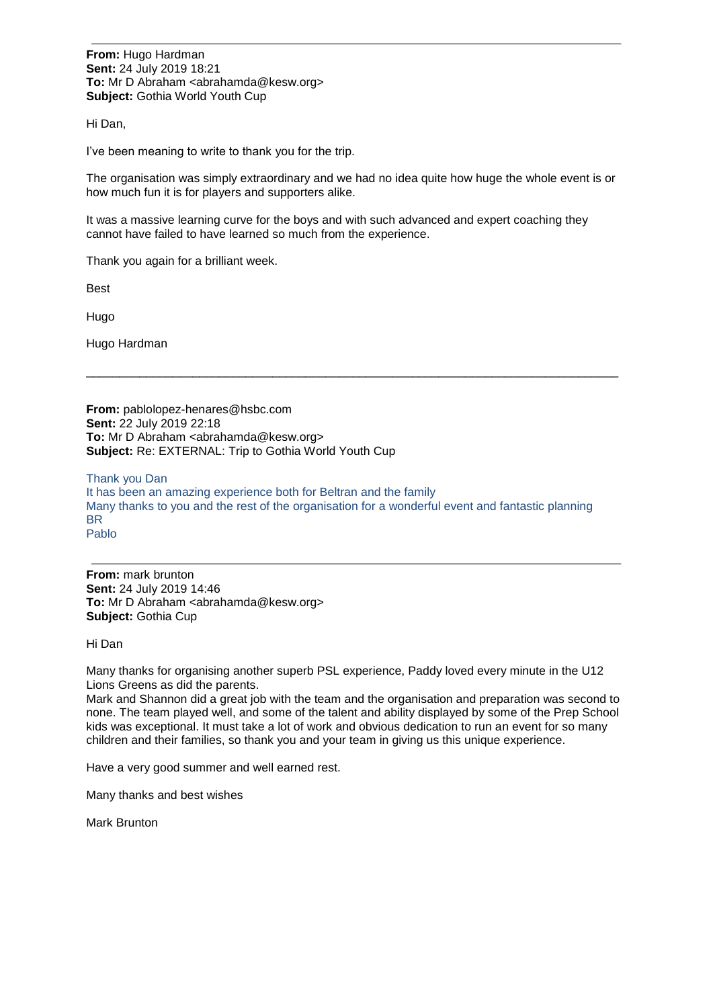**From:** Hugo Hardman **Sent:** 24 July 2019 18:21 **To:** Mr D Abraham <abrahamda@kesw.org> **Subject:** Gothia World Youth Cup

Hi Dan,

I've been meaning to write to thank you for the trip.

The organisation was simply extraordinary and we had no idea quite how huge the whole event is or how much fun it is for players and supporters alike.

\_\_\_\_\_\_\_\_\_\_\_\_\_\_\_\_\_\_\_\_\_\_\_\_\_\_\_\_\_\_\_\_\_\_\_\_\_\_\_\_\_\_\_\_\_\_\_\_\_\_\_\_\_\_\_\_\_\_\_\_\_\_\_\_\_\_\_\_\_\_\_\_\_\_\_\_\_\_\_\_

It was a massive learning curve for the boys and with such advanced and expert coaching they cannot have failed to have learned so much from the experience.

Thank you again for a brilliant week.

Best

Hugo

Hugo Hardman

**From:** pablolopez-henares@hsbc.com **Sent:** 22 July 2019 22:18 **To:** Mr D Abraham <abrahamda@kesw.org> **Subject:** Re: EXTERNAL: Trip to Gothia World Youth Cup

Thank you Dan It has been an amazing experience both for Beltran and the family Many thanks to you and the rest of the organisation for a wonderful event and fantastic planning BR Pablo

**From:** mark brunton **Sent:** 24 July 2019 14:46 **To:** Mr D Abraham <abrahamda@kesw.org> **Subject:** Gothia Cup

Hi Dan

Many thanks for organising another superb PSL experience, Paddy loved every minute in the U12 Lions Greens as did the parents.

Mark and Shannon did a great job with the team and the organisation and preparation was second to none. The team played well, and some of the talent and ability displayed by some of the Prep School kids was exceptional. It must take a lot of work and obvious dedication to run an event for so many children and their families, so thank you and your team in giving us this unique experience.

Have a very good summer and well earned rest.

Many thanks and best wishes

Mark Brunton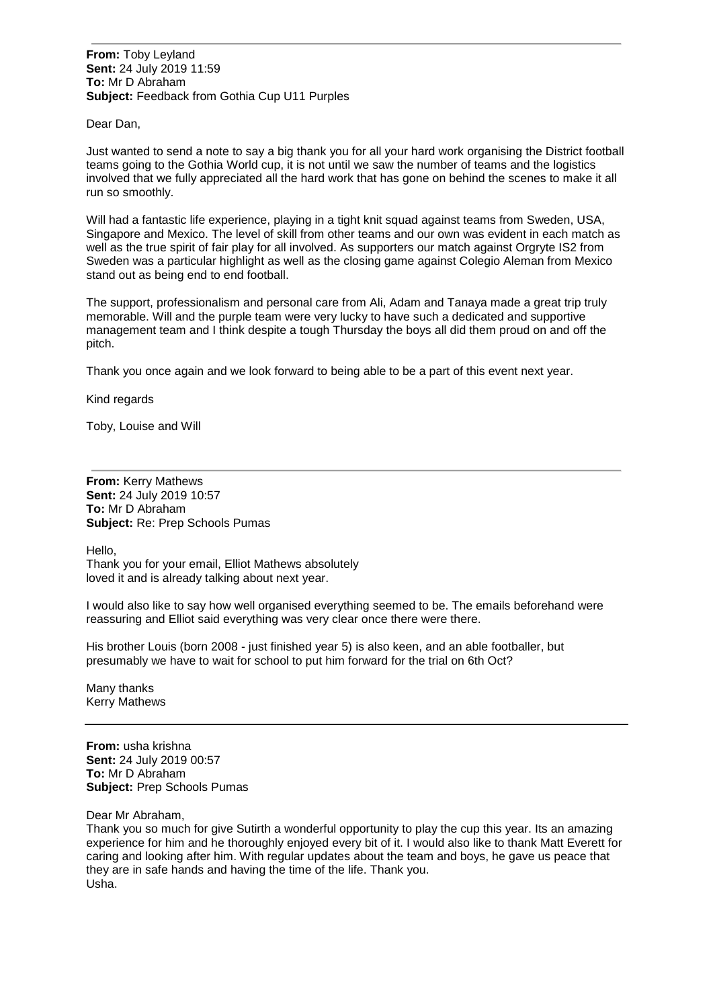**From:** Toby Leyland **Sent:** 24 July 2019 11:59 **To:** Mr D Abraham **Subject:** Feedback from Gothia Cup U11 Purples

Dear Dan,

Just wanted to send a note to say a big thank you for all your hard work organising the District football teams going to the Gothia World cup, it is not until we saw the number of teams and the logistics involved that we fully appreciated all the hard work that has gone on behind the scenes to make it all run so smoothly.

Will had a fantastic life experience, playing in a tight knit squad against teams from Sweden, USA, Singapore and Mexico. The level of skill from other teams and our own was evident in each match as well as the true spirit of fair play for all involved. As supporters our match against Orgryte IS2 from Sweden was a particular highlight as well as the closing game against Colegio Aleman from Mexico stand out as being end to end football.

The support, professionalism and personal care from Ali, Adam and Tanaya made a great trip truly memorable. Will and the purple team were very lucky to have such a dedicated and supportive management team and I think despite a tough Thursday the boys all did them proud on and off the pitch.

Thank you once again and we look forward to being able to be a part of this event next year.

Kind regards

Toby, Louise and Will

**From:** Kerry Mathews **Sent:** 24 July 2019 10:57 **To:** Mr D Abraham **Subject:** Re: Prep Schools Pumas

Hello,

Thank you for your email, Elliot Mathews absolutely loved it and is already talking about next year.

I would also like to say how well organised everything seemed to be. The emails beforehand were reassuring and Elliot said everything was very clear once there were there.

His brother Louis (born 2008 - just finished year 5) is also keen, and an able footballer, but presumably we have to wait for school to put him forward for the trial on 6th Oct?

Many thanks Kerry Mathews

**From:** usha krishna **Sent:** 24 July 2019 00:57 **To:** Mr D Abraham **Subject:** Prep Schools Pumas

Dear Mr Abraham,

Thank you so much for give Sutirth a wonderful opportunity to play the cup this year. Its an amazing experience for him and he thoroughly enjoyed every bit of it. I would also like to thank Matt Everett for caring and looking after him. With regular updates about the team and boys, he gave us peace that they are in safe hands and having the time of the life. Thank you. Usha.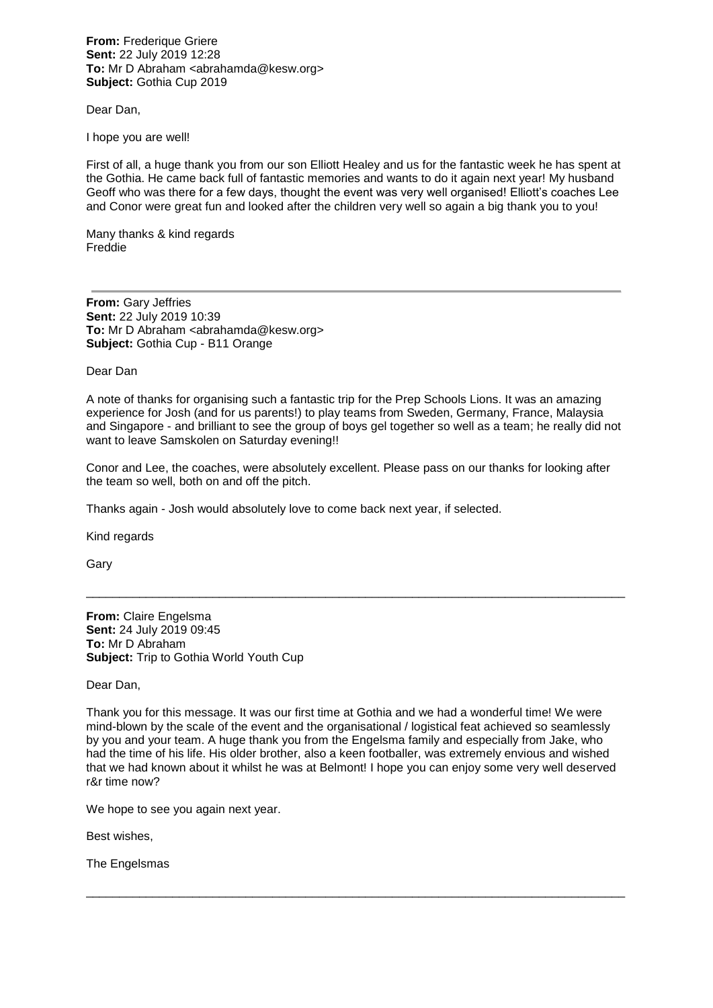**From:** Frederique Griere **Sent:** 22 July 2019 12:28 **To:** Mr D Abraham <abrahamda@kesw.org> **Subject:** Gothia Cup 2019

Dear Dan,

I hope you are well!

First of all, a huge thank you from our son Elliott Healey and us for the fantastic week he has spent at the Gothia. He came back full of fantastic memories and wants to do it again next year! My husband Geoff who was there for a few days, thought the event was very well organised! Elliott's coaches Lee and Conor were great fun and looked after the children very well so again a big thank you to you!

Many thanks & kind regards Freddie

**From:** Gary Jeffries **Sent:** 22 July 2019 10:39 **To:** Mr D Abraham <abrahamda@kesw.org> **Subject:** Gothia Cup - B11 Orange

Dear Dan

A note of thanks for organising such a fantastic trip for the Prep Schools Lions. It was an amazing experience for Josh (and for us parents!) to play teams from Sweden, Germany, France, Malaysia and Singapore - and brilliant to see the group of boys gel together so well as a team; he really did not want to leave Samskolen on Saturday evening!!

Conor and Lee, the coaches, were absolutely excellent. Please pass on our thanks for looking after the team so well, both on and off the pitch.

\_\_\_\_\_\_\_\_\_\_\_\_\_\_\_\_\_\_\_\_\_\_\_\_\_\_\_\_\_\_\_\_\_\_\_\_\_\_\_\_\_\_\_\_\_\_\_\_\_\_\_\_\_\_\_\_\_\_\_\_\_\_\_\_\_\_\_\_\_\_\_\_\_\_\_\_\_\_\_\_\_

Thanks again - Josh would absolutely love to come back next year, if selected.

Kind regards

Gary

**From:** Claire Engelsma **Sent:** 24 July 2019 09:45 **To:** Mr D Abraham **Subject:** Trip to Gothia World Youth Cup

Dear Dan,

Thank you for this message. It was our first time at Gothia and we had a wonderful time! We were mind-blown by the scale of the event and the organisational / logistical feat achieved so seamlessly by you and your team. A huge thank you from the Engelsma family and especially from Jake, who had the time of his life. His older brother, also a keen footballer, was extremely envious and wished that we had known about it whilst he was at Belmont! I hope you can enjoy some very well deserved r&r time now?

\_\_\_\_\_\_\_\_\_\_\_\_\_\_\_\_\_\_\_\_\_\_\_\_\_\_\_\_\_\_\_\_\_\_\_\_\_\_\_\_\_\_\_\_\_\_\_\_\_\_\_\_\_\_\_\_\_\_\_\_\_\_\_\_\_\_\_\_\_\_\_\_\_\_\_\_\_\_\_\_\_

We hope to see you again next year.

Best wishes,

The Engelsmas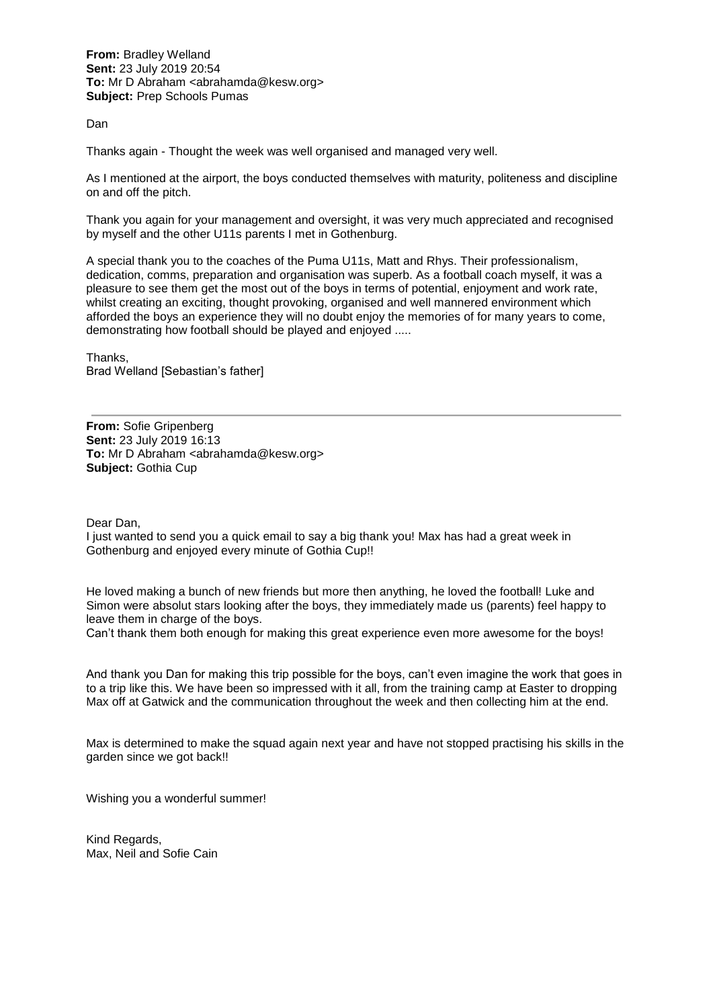**From:** Bradley Welland **Sent:** 23 July 2019 20:54 **To:** Mr D Abraham <abrahamda@kesw.org> **Subject:** Prep Schools Pumas

Dan

Thanks again - Thought the week was well organised and managed very well.

As I mentioned at the airport, the boys conducted themselves with maturity, politeness and discipline on and off the pitch.

Thank you again for your management and oversight, it was very much appreciated and recognised by myself and the other U11s parents I met in Gothenburg.

A special thank you to the coaches of the Puma U11s, Matt and Rhys. Their professionalism, dedication, comms, preparation and organisation was superb. As a football coach myself, it was a pleasure to see them get the most out of the boys in terms of potential, enjoyment and work rate, whilst creating an exciting, thought provoking, organised and well mannered environment which afforded the boys an experience they will no doubt enjoy the memories of for many years to come, demonstrating how football should be played and enjoyed .....

Thanks, Brad Welland [Sebastian's father]

**From:** Sofie Gripenberg **Sent:** 23 July 2019 16:13 **To:** Mr D Abraham <abrahamda@kesw.org> **Subject:** Gothia Cup

Dear Dan,

I just wanted to send you a quick email to say a big thank you! Max has had a great week in Gothenburg and enjoyed every minute of Gothia Cup!!

He loved making a bunch of new friends but more then anything, he loved the football! Luke and Simon were absolut stars looking after the boys, they immediately made us (parents) feel happy to leave them in charge of the boys.

Can't thank them both enough for making this great experience even more awesome for the boys!

And thank you Dan for making this trip possible for the boys, can't even imagine the work that goes in to a trip like this. We have been so impressed with it all, from the training camp at Easter to dropping Max off at Gatwick and the communication throughout the week and then collecting him at the end.

Max is determined to make the squad again next year and have not stopped practising his skills in the garden since we got back!!

Wishing you a wonderful summer!

Kind Regards, Max, Neil and Sofie Cain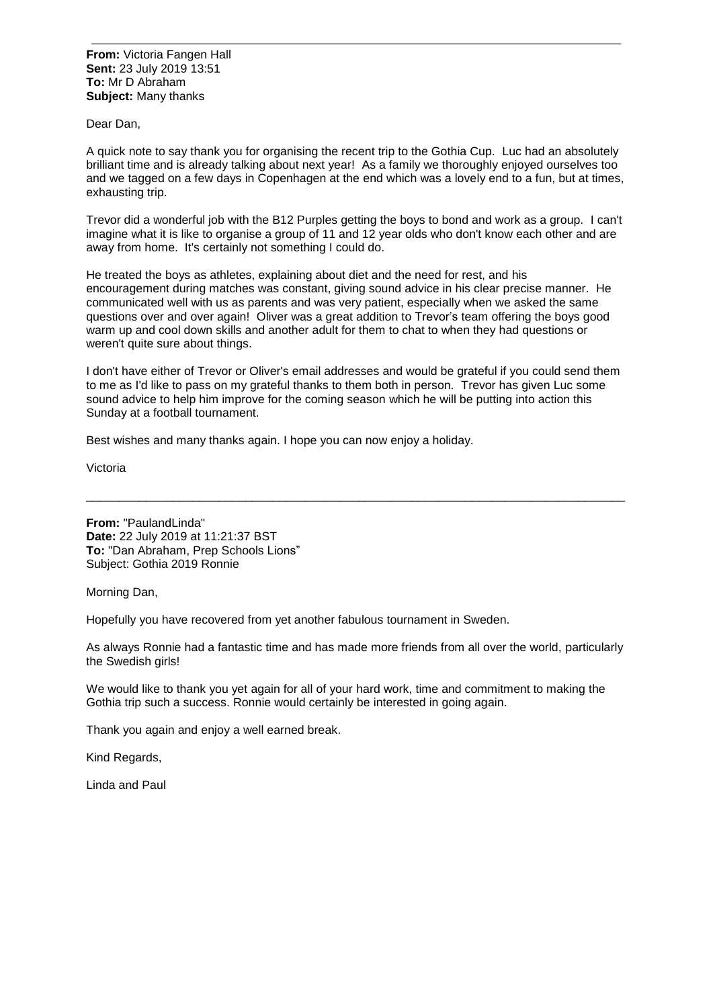**From:** Victoria Fangen Hall **Sent:** 23 July 2019 13:51 **To:** Mr D Abraham **Subject:** Many thanks

Dear Dan,

A quick note to say thank you for organising the recent trip to the Gothia Cup. Luc had an absolutely brilliant time and is already talking about next year! As a family we thoroughly enjoyed ourselves too and we tagged on a few days in Copenhagen at the end which was a lovely end to a fun, but at times, exhausting trip.

Trevor did a wonderful job with the B12 Purples getting the boys to bond and work as a group. I can't imagine what it is like to organise a group of 11 and 12 year olds who don't know each other and are away from home. It's certainly not something I could do.

He treated the boys as athletes, explaining about diet and the need for rest, and his encouragement during matches was constant, giving sound advice in his clear precise manner. He communicated well with us as parents and was very patient, especially when we asked the same questions over and over again! Oliver was a great addition to Trevor's team offering the boys good warm up and cool down skills and another adult for them to chat to when they had questions or weren't quite sure about things.

I don't have either of Trevor or Oliver's email addresses and would be grateful if you could send them to me as I'd like to pass on my grateful thanks to them both in person. Trevor has given Luc some sound advice to help him improve for the coming season which he will be putting into action this Sunday at a football tournament.

\_\_\_\_\_\_\_\_\_\_\_\_\_\_\_\_\_\_\_\_\_\_\_\_\_\_\_\_\_\_\_\_\_\_\_\_\_\_\_\_\_\_\_\_\_\_\_\_\_\_\_\_\_\_\_\_\_\_\_\_\_\_\_\_\_\_\_\_\_\_\_\_\_\_\_\_\_\_\_\_\_

Best wishes and many thanks again. I hope you can now enjoy a holiday.

Victoria

**From:** "PaulandLinda" **Date:** 22 July 2019 at 11:21:37 BST **To:** "Dan Abraham, Prep Schools Lions" Subject: Gothia 2019 Ronnie

Morning Dan,

Hopefully you have recovered from yet another fabulous tournament in Sweden.

As always Ronnie had a fantastic time and has made more friends from all over the world, particularly the Swedish girls!

We would like to thank you yet again for all of your hard work, time and commitment to making the Gothia trip such a success. Ronnie would certainly be interested in going again.

Thank you again and enjoy a well earned break.

Kind Regards,

Linda and Paul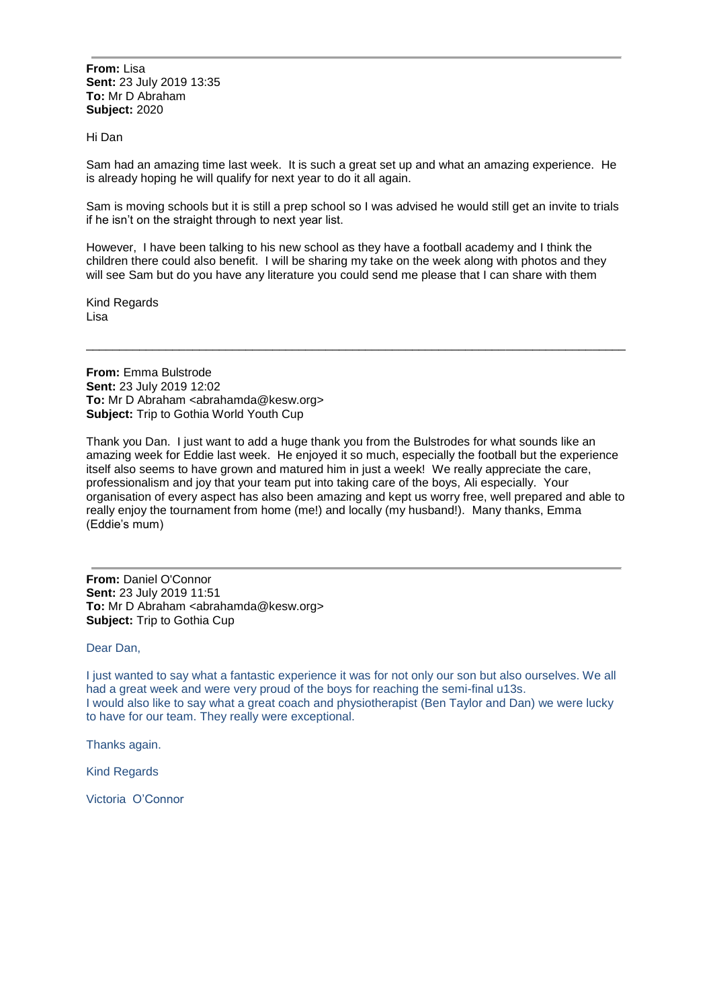**From:** Lisa **Sent:** 23 July 2019 13:35 **To:** Mr D Abraham **Subject:** 2020

## Hi Dan

Sam had an amazing time last week. It is such a great set up and what an amazing experience. He is already hoping he will qualify for next year to do it all again.

Sam is moving schools but it is still a prep school so I was advised he would still get an invite to trials if he isn't on the straight through to next year list.

However, I have been talking to his new school as they have a football academy and I think the children there could also benefit. I will be sharing my take on the week along with photos and they will see Sam but do you have any literature you could send me please that I can share with them

\_\_\_\_\_\_\_\_\_\_\_\_\_\_\_\_\_\_\_\_\_\_\_\_\_\_\_\_\_\_\_\_\_\_\_\_\_\_\_\_\_\_\_\_\_\_\_\_\_\_\_\_\_\_\_\_\_\_\_\_\_\_\_\_\_\_\_\_\_\_\_\_\_\_\_\_\_\_\_\_\_

Kind Regards Lisa

**From:** Emma Bulstrode **Sent:** 23 July 2019 12:02 **To:** Mr D Abraham <abrahamda@kesw.org> **Subject:** Trip to Gothia World Youth Cup

Thank you Dan. I just want to add a huge thank you from the Bulstrodes for what sounds like an amazing week for Eddie last week. He enjoyed it so much, especially the football but the experience itself also seems to have grown and matured him in just a week! We really appreciate the care, professionalism and joy that your team put into taking care of the boys, Ali especially. Your organisation of every aspect has also been amazing and kept us worry free, well prepared and able to really enjoy the tournament from home (me!) and locally (my husband!). Many thanks, Emma (Eddie's mum)

**From:** Daniel O'Connor **Sent:** 23 July 2019 11:51 **To:** Mr D Abraham <abrahamda@kesw.org> **Subject:** Trip to Gothia Cup

Dear Dan,

I just wanted to say what a fantastic experience it was for not only our son but also ourselves. We all had a great week and were very proud of the boys for reaching the semi-final u13s. I would also like to say what a great coach and physiotherapist (Ben Taylor and Dan) we were lucky to have for our team. They really were exceptional.

Thanks again.

Kind Regards

Victoria O'Connor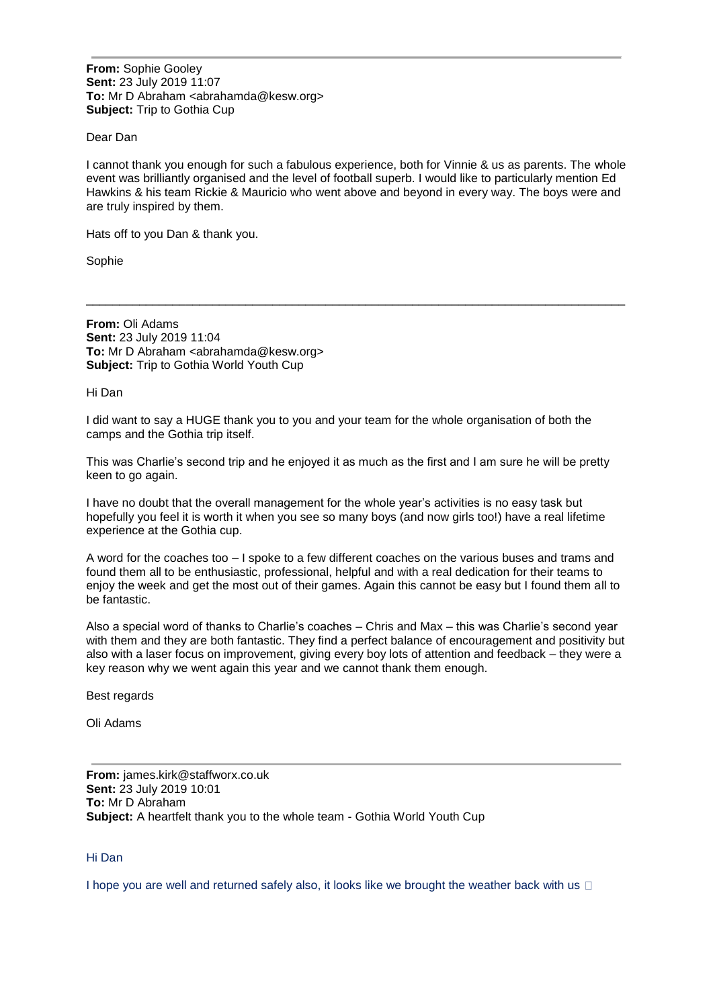**From:** Sophie Gooley **Sent:** 23 July 2019 11:07 **To:** Mr D Abraham <abrahamda@kesw.org> **Subject:** Trip to Gothia Cup

## Dear Dan

I cannot thank you enough for such a fabulous experience, both for Vinnie & us as parents. The whole event was brilliantly organised and the level of football superb. I would like to particularly mention Ed Hawkins & his team Rickie & Mauricio who went above and beyond in every way. The boys were and are truly inspired by them.

\_\_\_\_\_\_\_\_\_\_\_\_\_\_\_\_\_\_\_\_\_\_\_\_\_\_\_\_\_\_\_\_\_\_\_\_\_\_\_\_\_\_\_\_\_\_\_\_\_\_\_\_\_\_\_\_\_\_\_\_\_\_\_\_\_\_\_\_\_\_\_\_\_\_\_\_\_\_\_\_\_

Hats off to you Dan & thank you.

Sophie

**From:** Oli Adams **Sent:** 23 July 2019 11:04 **To:** Mr D Abraham <abrahamda@kesw.org> **Subject:** Trip to Gothia World Youth Cup

Hi Dan

I did want to say a HUGE thank you to you and your team for the whole organisation of both the camps and the Gothia trip itself.

This was Charlie's second trip and he enjoyed it as much as the first and I am sure he will be pretty keen to go again.

I have no doubt that the overall management for the whole year's activities is no easy task but hopefully you feel it is worth it when you see so many boys (and now girls too!) have a real lifetime experience at the Gothia cup.

A word for the coaches too – I spoke to a few different coaches on the various buses and trams and found them all to be enthusiastic, professional, helpful and with a real dedication for their teams to enjoy the week and get the most out of their games. Again this cannot be easy but I found them all to be fantastic.

Also a special word of thanks to Charlie's coaches – Chris and Max – this was Charlie's second year with them and they are both fantastic. They find a perfect balance of encouragement and positivity but also with a laser focus on improvement, giving every boy lots of attention and feedback – they were a key reason why we went again this year and we cannot thank them enough.

Best regards

Oli Adams

**From:** james.kirk@staffworx.co.uk **Sent:** 23 July 2019 10:01 **To:** Mr D Abraham **Subject:** A heartfelt thank you to the whole team - Gothia World Youth Cup

Hi Dan

I hope you are well and returned safely also, it looks like we brought the weather back with us  $\Box$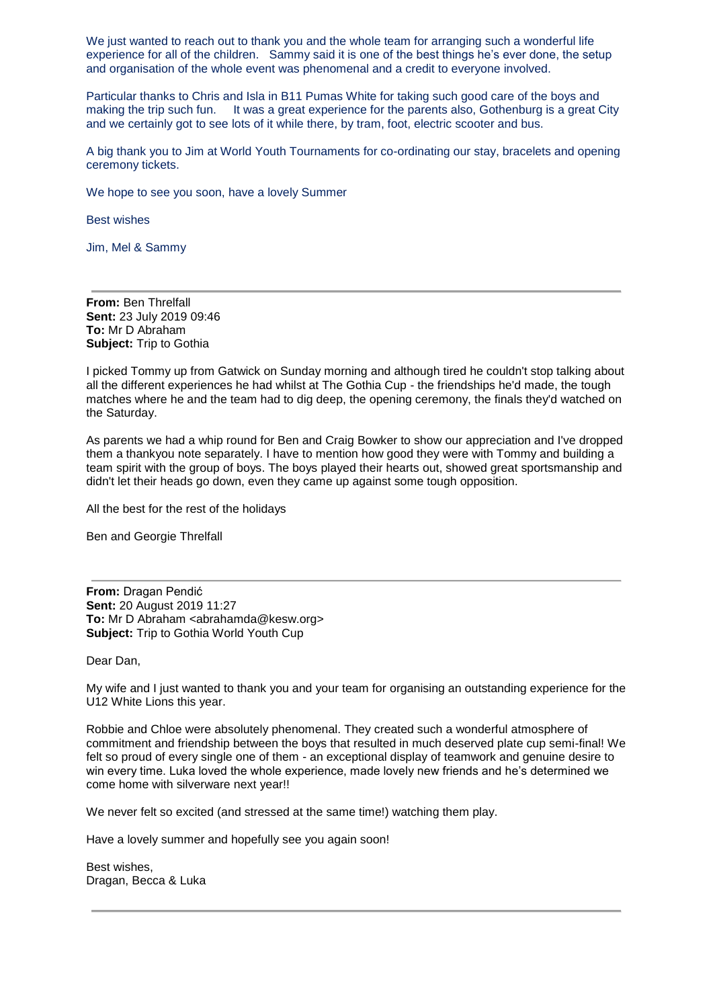We just wanted to reach out to thank you and the whole team for arranging such a wonderful life experience for all of the children. Sammy said it is one of the best things he's ever done, the setup and organisation of the whole event was phenomenal and a credit to everyone involved.

Particular thanks to Chris and Isla in B11 Pumas White for taking such good care of the boys and making the trip such fun. It was a great experience for the parents also, Gothenburg is a great City and we certainly got to see lots of it while there, by tram, foot, electric scooter and bus.

A big thank you to Jim at World Youth Tournaments for co-ordinating our stay, bracelets and opening ceremony tickets.

We hope to see you soon, have a lovely Summer

Best wishes

Jim, Mel & Sammy

**From:** Ben Threlfall **Sent:** 23 July 2019 09:46 **To:** Mr D Abraham **Subject:** Trip to Gothia

I picked Tommy up from Gatwick on Sunday morning and although tired he couldn't stop talking about all the different experiences he had whilst at The Gothia Cup - the friendships he'd made, the tough matches where he and the team had to dig deep, the opening ceremony, the finals they'd watched on the Saturday.

As parents we had a whip round for Ben and Craig Bowker to show our appreciation and I've dropped them a thankyou note separately. I have to mention how good they were with Tommy and building a team spirit with the group of boys. The boys played their hearts out, showed great sportsmanship and didn't let their heads go down, even they came up against some tough opposition.

All the best for the rest of the holidays

Ben and Georgie Threlfall

**From:** Dragan Pendić **Sent:** 20 August 2019 11:27 **To:** Mr D Abraham <abrahamda@kesw.org> **Subject:** Trip to Gothia World Youth Cup

Dear Dan,

My wife and I just wanted to thank you and your team for organising an outstanding experience for the U12 White Lions this year.

Robbie and Chloe were absolutely phenomenal. They created such a wonderful atmosphere of commitment and friendship between the boys that resulted in much deserved plate cup semi-final! We felt so proud of every single one of them - an exceptional display of teamwork and genuine desire to win every time. Luka loved the whole experience, made lovely new friends and he's determined we come home with silverware next year!!

We never felt so excited (and stressed at the same time!) watching them play.

Have a lovely summer and hopefully see you again soon!

Best wishes, Dragan, Becca & Luka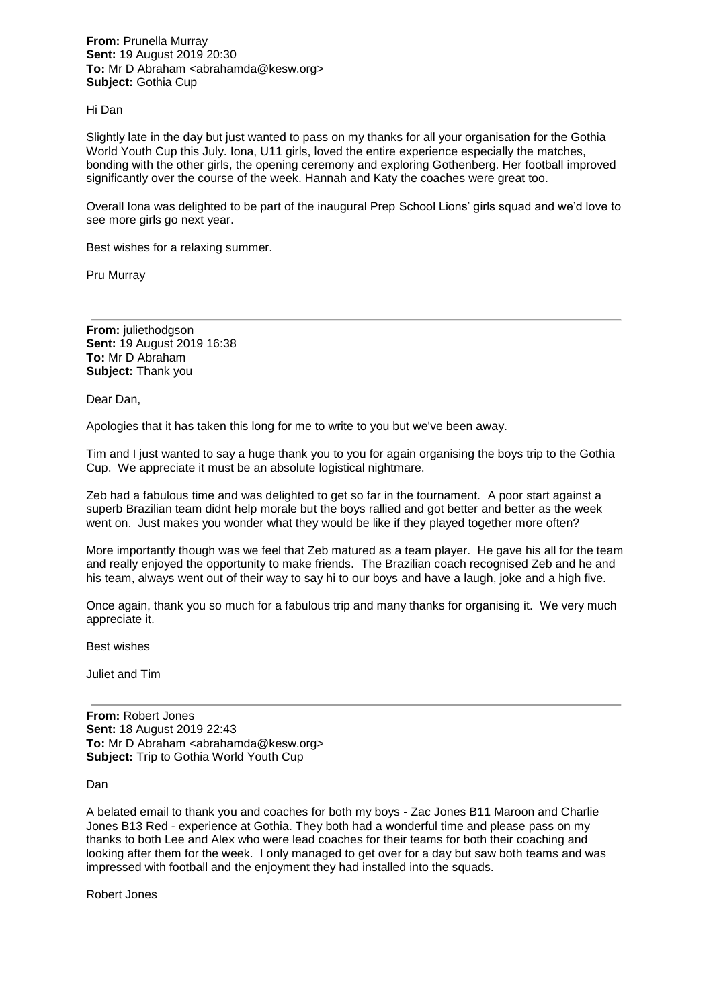**From:** Prunella Murray **Sent:** 19 August 2019 20:30 **To:** Mr D Abraham <abrahamda@kesw.org> **Subject:** Gothia Cup

#### Hi Dan

Slightly late in the day but just wanted to pass on my thanks for all your organisation for the Gothia World Youth Cup this July. Iona, U11 girls, loved the entire experience especially the matches, bonding with the other girls, the opening ceremony and exploring Gothenberg. Her football improved significantly over the course of the week. Hannah and Katy the coaches were great too.

Overall Iona was delighted to be part of the inaugural Prep School Lions' girls squad and we'd love to see more girls go next year.

Best wishes for a relaxing summer.

Pru Murray

**From:** juliethodgson **Sent:** 19 August 2019 16:38 **To:** Mr D Abraham **Subject:** Thank you

Dear Dan,

Apologies that it has taken this long for me to write to you but we've been away.

Tim and I just wanted to say a huge thank you to you for again organising the boys trip to the Gothia Cup. We appreciate it must be an absolute logistical nightmare.

Zeb had a fabulous time and was delighted to get so far in the tournament. A poor start against a superb Brazilian team didnt help morale but the boys rallied and got better and better as the week went on. Just makes you wonder what they would be like if they played together more often?

More importantly though was we feel that Zeb matured as a team player. He gave his all for the team and really enjoyed the opportunity to make friends. The Brazilian coach recognised Zeb and he and his team, always went out of their way to say hi to our boys and have a laugh, joke and a high five.

Once again, thank you so much for a fabulous trip and many thanks for organising it. We very much appreciate it.

Best wishes

Juliet and Tim

**From:** Robert Jones **Sent:** 18 August 2019 22:43 **To:** Mr D Abraham <abrahamda@kesw.org> **Subject:** Trip to Gothia World Youth Cup

Dan

A belated email to thank you and coaches for both my boys - Zac Jones B11 Maroon and Charlie Jones B13 Red - experience at Gothia. They both had a wonderful time and please pass on my thanks to both Lee and Alex who were lead coaches for their teams for both their coaching and looking after them for the week. I only managed to get over for a day but saw both teams and was impressed with football and the enjoyment they had installed into the squads.

Robert Jones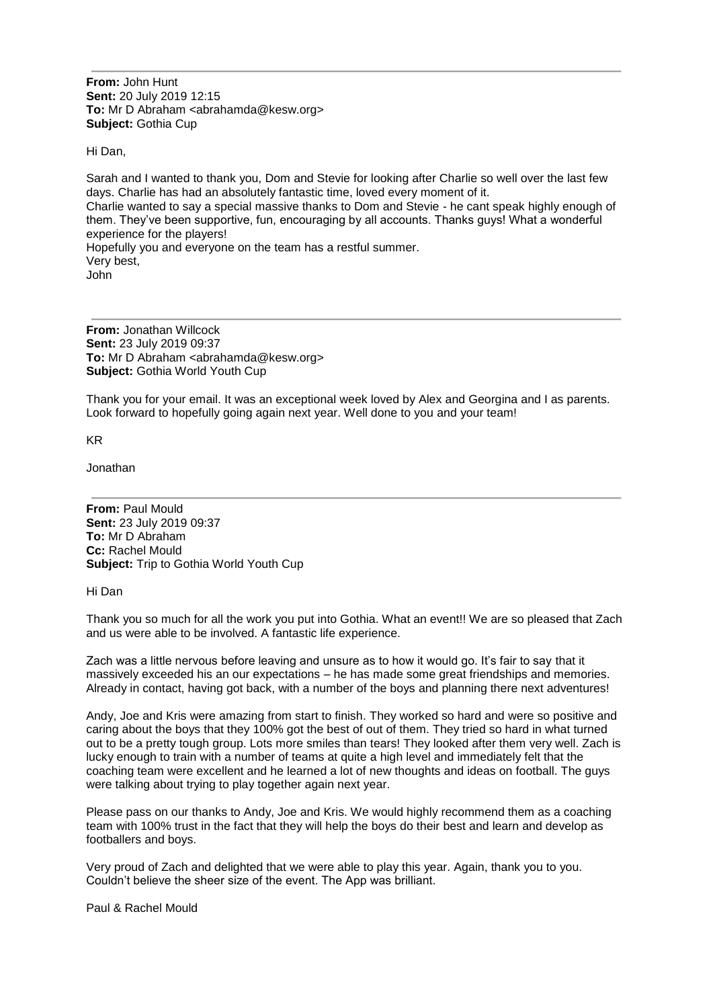**From:** John Hunt **Sent:** 20 July 2019 12:15 **To:** Mr D Abraham <abrahamda@kesw.org> **Subject:** Gothia Cup

Hi Dan,

Sarah and I wanted to thank you, Dom and Stevie for looking after Charlie so well over the last few days. Charlie has had an absolutely fantastic time, loved every moment of it. Charlie wanted to say a special massive thanks to Dom and Stevie - he cant speak highly enough of them. They've been supportive, fun, encouraging by all accounts. Thanks guys! What a wonderful experience for the players! Hopefully you and everyone on the team has a restful summer. Very best, John

**From:** Jonathan Willcock **Sent:** 23 July 2019 09:37 **To:** Mr D Abraham <abrahamda@kesw.org> **Subject:** Gothia World Youth Cup

Thank you for your email. It was an exceptional week loved by Alex and Georgina and I as parents. Look forward to hopefully going again next year. Well done to you and your team!

KR

Jonathan

**From:** Paul Mould **Sent:** 23 July 2019 09:37 **To:** Mr D Abraham **Cc:** Rachel Mould **Subject:** Trip to Gothia World Youth Cup

Hi Dan

Thank you so much for all the work you put into Gothia. What an event!! We are so pleased that Zach and us were able to be involved. A fantastic life experience.

Zach was a little nervous before leaving and unsure as to how it would go. It's fair to say that it massively exceeded his an our expectations – he has made some great friendships and memories. Already in contact, having got back, with a number of the boys and planning there next adventures!

Andy, Joe and Kris were amazing from start to finish. They worked so hard and were so positive and caring about the boys that they 100% got the best of out of them. They tried so hard in what turned out to be a pretty tough group. Lots more smiles than tears! They looked after them very well. Zach is lucky enough to train with a number of teams at quite a high level and immediately felt that the coaching team were excellent and he learned a lot of new thoughts and ideas on football. The guys were talking about trying to play together again next year.

Please pass on our thanks to Andy, Joe and Kris. We would highly recommend them as a coaching team with 100% trust in the fact that they will help the boys do their best and learn and develop as footballers and boys.

Very proud of Zach and delighted that we were able to play this year. Again, thank you to you. Couldn't believe the sheer size of the event. The App was brilliant.

Paul & Rachel Mould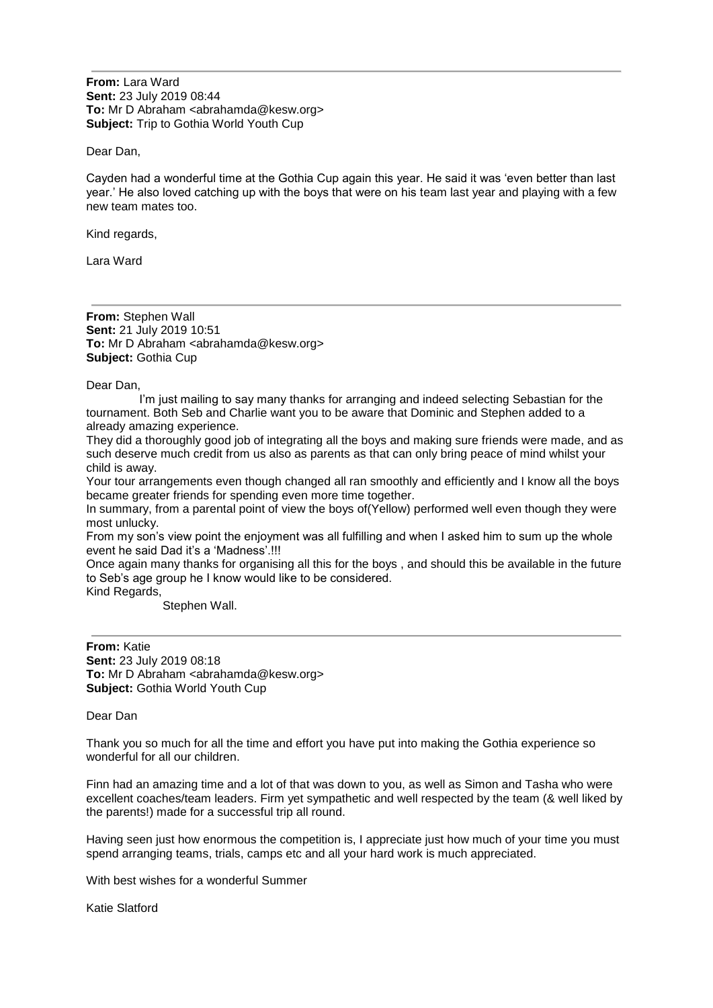**From:** Lara Ward **Sent:** 23 July 2019 08:44 **To:** Mr D Abraham <abrahamda@kesw.org> **Subject:** Trip to Gothia World Youth Cup

Dear Dan,

Cayden had a wonderful time at the Gothia Cup again this year. He said it was 'even better than last year.' He also loved catching up with the boys that were on his team last year and playing with a few new team mates too.

Kind regards,

Lara Ward

**From:** Stephen Wall **Sent:** 21 July 2019 10:51 **To:** Mr D Abraham <abrahamda@kesw.org> **Subject:** Gothia Cup

Dear Dan,

 I'm just mailing to say many thanks for arranging and indeed selecting Sebastian for the tournament. Both Seb and Charlie want you to be aware that Dominic and Stephen added to a already amazing experience.

They did a thoroughly good job of integrating all the boys and making sure friends were made, and as such deserve much credit from us also as parents as that can only bring peace of mind whilst your child is away.

Your tour arrangements even though changed all ran smoothly and efficiently and I know all the boys became greater friends for spending even more time together.

In summary, from a parental point of view the boys of(Yellow) performed well even though they were most unlucky.

From my son's view point the enjoyment was all fulfilling and when I asked him to sum up the whole event he said Dad it's a 'Madness'.!!!

Once again many thanks for organising all this for the boys , and should this be available in the future to Seb's age group he I know would like to be considered.

Kind Regards,

Stephen Wall.

**From:** Katie **Sent:** 23 July 2019 08:18 **To:** Mr D Abraham <abrahamda@kesw.org> **Subject:** Gothia World Youth Cup

Dear Dan

Thank you so much for all the time and effort you have put into making the Gothia experience so wonderful for all our children.

Finn had an amazing time and a lot of that was down to you, as well as Simon and Tasha who were excellent coaches/team leaders. Firm yet sympathetic and well respected by the team (& well liked by the parents!) made for a successful trip all round.

Having seen just how enormous the competition is, I appreciate just how much of your time you must spend arranging teams, trials, camps etc and all your hard work is much appreciated.

With best wishes for a wonderful Summer

Katie Slatford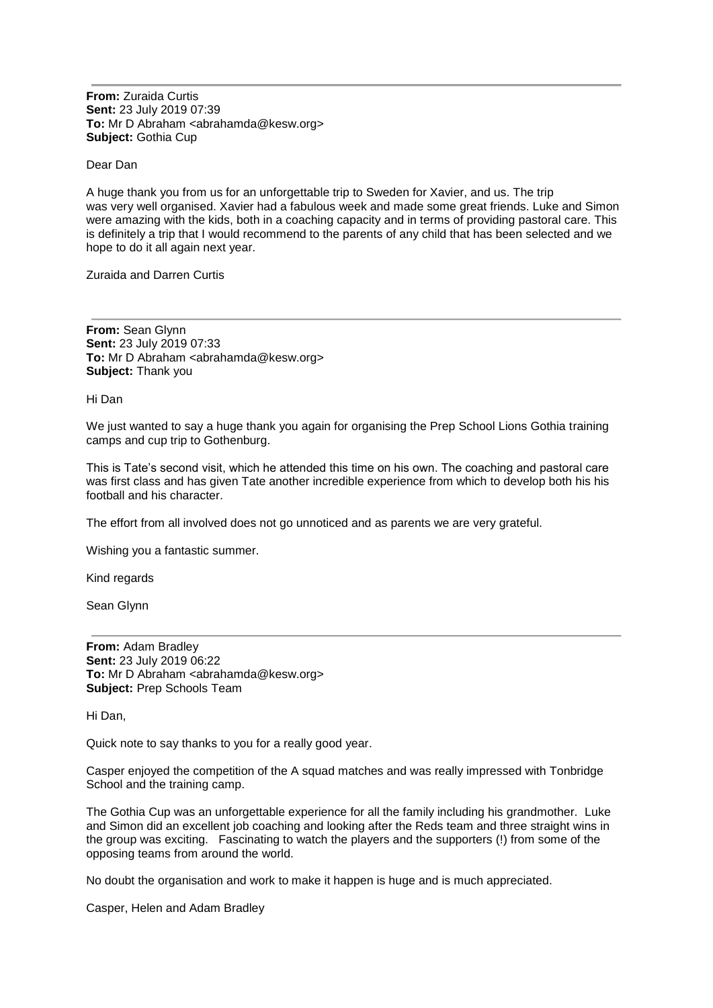**From:** Zuraida Curtis **Sent:** 23 July 2019 07:39 **To:** Mr D Abraham <abrahamda@kesw.org> **Subject:** Gothia Cup

Dear Dan

A huge thank you from us for an unforgettable trip to Sweden for Xavier, and us. The trip was very well organised. Xavier had a fabulous week and made some great friends. Luke and Simon were amazing with the kids, both in a coaching capacity and in terms of providing pastoral care. This is definitely a trip that I would recommend to the parents of any child that has been selected and we hope to do it all again next year.

Zuraida and Darren Curtis

**From:** Sean Glynn **Sent:** 23 July 2019 07:33 **To:** Mr D Abraham <abrahamda@kesw.org> **Subject:** Thank you

Hi Dan

We just wanted to say a huge thank you again for organising the Prep School Lions Gothia training camps and cup trip to Gothenburg.

This is Tate's second visit, which he attended this time on his own. The coaching and pastoral care was first class and has given Tate another incredible experience from which to develop both his his football and his character.

The effort from all involved does not go unnoticed and as parents we are very grateful.

Wishing you a fantastic summer.

Kind regards

Sean Glynn

**From:** Adam Bradley **Sent:** 23 July 2019 06:22 **To:** Mr D Abraham <abrahamda@kesw.org> **Subject:** Prep Schools Team

Hi Dan,

Quick note to say thanks to you for a really good year.

Casper enjoyed the competition of the A squad matches and was really impressed with Tonbridge School and the training camp.

The Gothia Cup was an unforgettable experience for all the family including his grandmother. Luke and Simon did an excellent job coaching and looking after the Reds team and three straight wins in the group was exciting. Fascinating to watch the players and the supporters (!) from some of the opposing teams from around the world.

No doubt the organisation and work to make it happen is huge and is much appreciated.

Casper, Helen and Adam Bradley